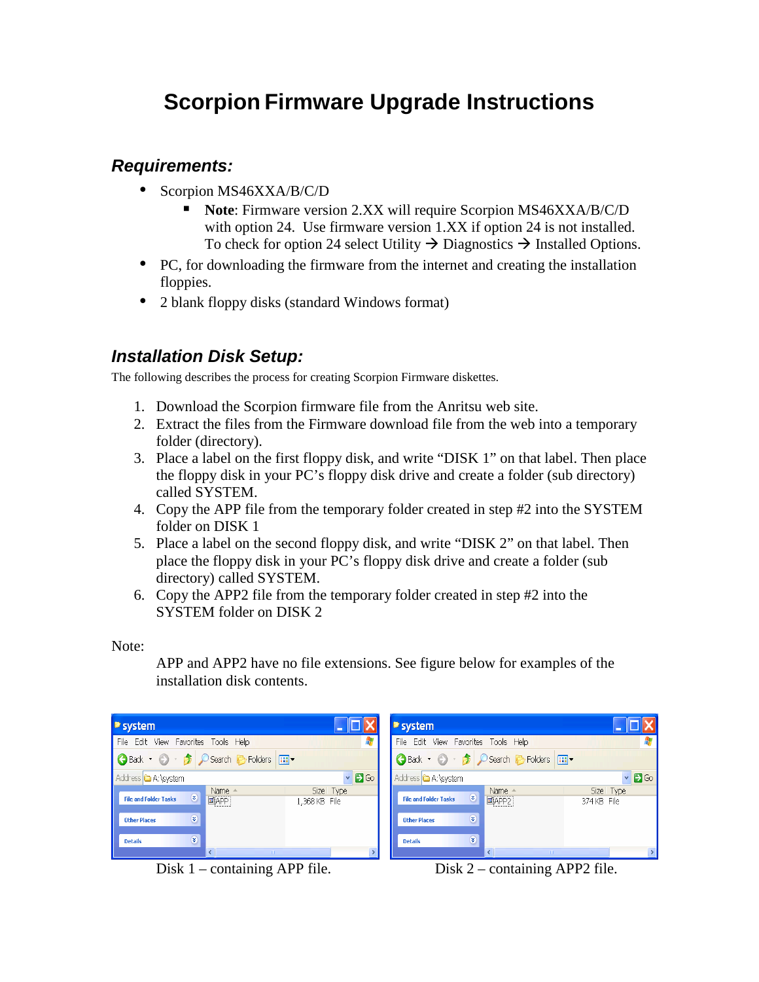# **Scorpion Firmware Upgrade Instructions**

#### **Requirements:**

- Scorpion MS46XXA/B/C/D
	- **Note**: Firmware version 2.XX will require Scorpion MS46XXA/B/C/D with option 24. Use firmware version 1.XX if option 24 is not installed. To check for option 24 select Utility  $\rightarrow$  Diagnostics  $\rightarrow$  Installed Options.
- PC, for downloading the firmware from the internet and creating the installation floppies.
- 2 blank floppy disks (standard Windows format)

### **Installation Disk Setup:**

The following describes the process for creating Scorpion Firmware diskettes.

- 1. Download the Scorpion firmware file from the Anritsu web site.
- 2. Extract the files from the Firmware download file from the web into a temporary folder (directory).
- 3. Place a label on the first floppy disk, and write "DISK 1" on that label. Then place the floppy disk in your PC's floppy disk drive and create a folder (sub directory) called SYSTEM.
- 4. Copy the APP file from the temporary folder created in step #2 into the SYSTEM folder on DISK 1
- 5. Place a label on the second floppy disk, and write "DISK 2" on that label. Then place the floppy disk in your PC's floppy disk drive and create a folder (sub directory) called SYSTEM.
- 6. Copy the APP2 file from the temporary folder created in step #2 into the SYSTEM folder on DISK 2

Note:

APP and APP2 have no file extensions. See figure below for examples of the installation disk contents.

| ■ system                                          | ■ system                                                 |
|---------------------------------------------------|----------------------------------------------------------|
| File Edit View Favorites Tools Help               | File Edit View Favorites Tools Help                      |
| <b>Back · O · B</b> O Search <b>B</b> Folders III | <b>Back + 0 + 3</b> O Search <b>B</b> Folders <b>III</b> |
| $\vee$ 3 Go                                       | $\vee$ 3 Go                                              |
| Address <b>&amp;</b> A:\system                    | Address <b>&amp;</b> A:\system                           |
| Size   Type                                       | Size   Type                                              |
| Name                                              | Name                                                     |
| $\circ$                                           | $\bullet$                                                |
| $\Box$ APP                                        | APP2                                                     |
| <b>File and Folder Tasks</b>                      | <b>File and Folder Tasks</b>                             |
| 1,368 KB File                                     | 374 KB File                                              |
| $\textbf{v}$                                      | $\mathbf{\widehat{g}}$                                   |
| <b>Other Places</b>                               | <b>Other Places</b>                                      |
| $\circledast$                                     | $\circledast$                                            |
| <b>Details</b>                                    | <b>Details</b>                                           |
|                                                   |                                                          |

Disk 1 – containing APP file. Disk 2 – containing APP2 file.